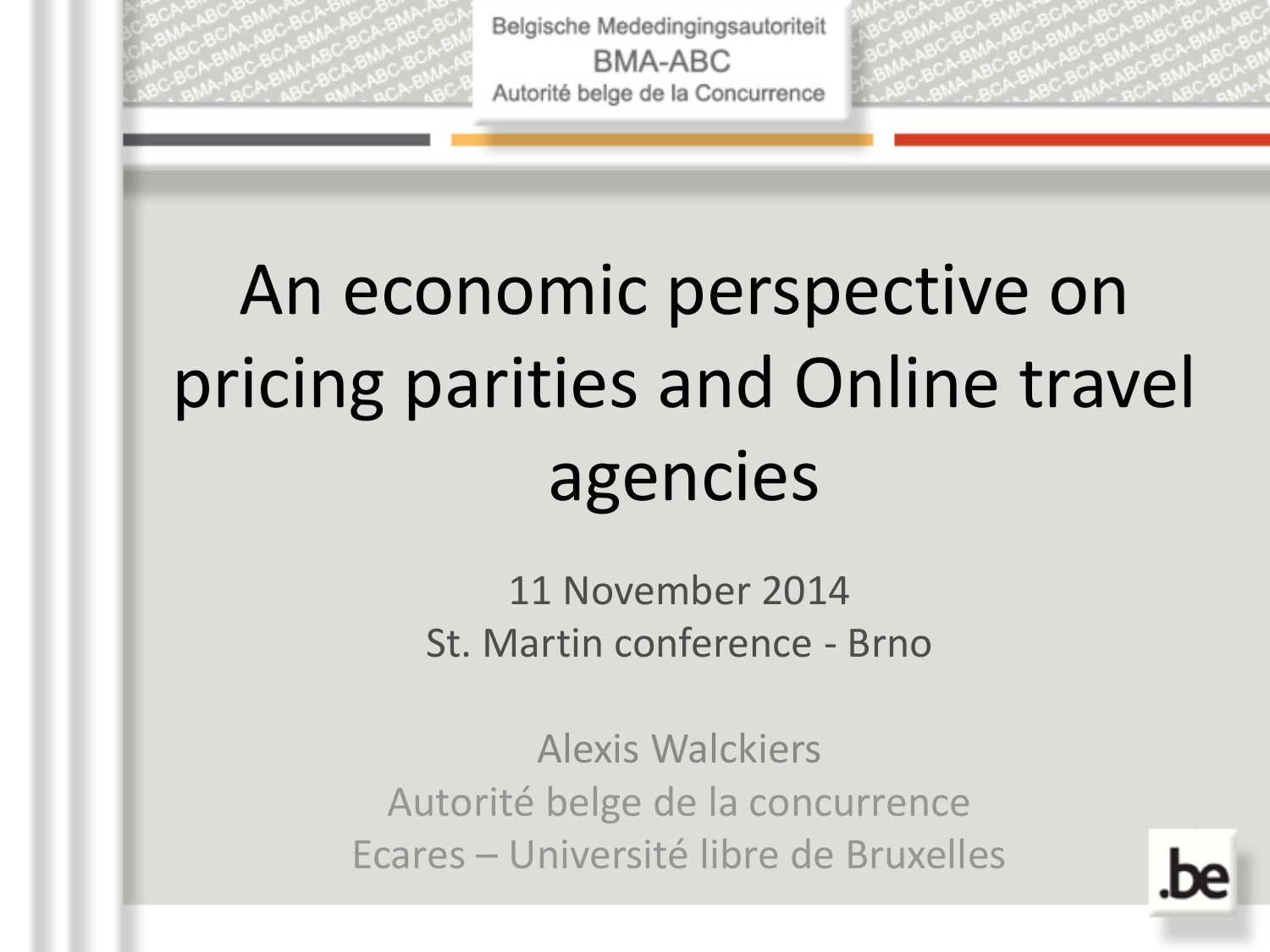

# An economic perspective on pricing parities and Online travel agencies

11 November 2014 St. Martin conference - Brno

Alexis Walckiers Autorité belge de la concurrence Ecares – Université libre de Bruxelles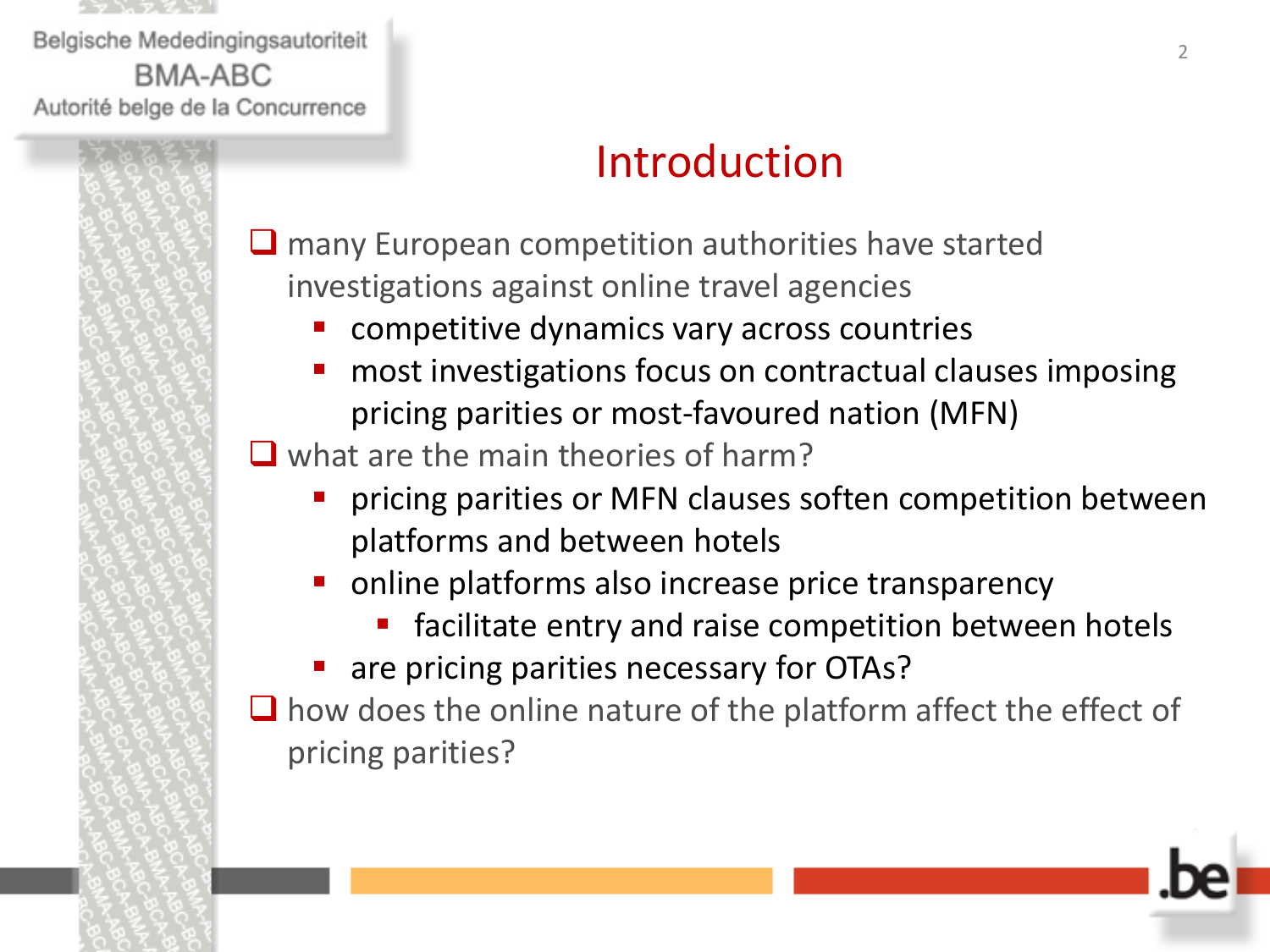

# Introduction

 $\Box$  many European competition authorities have started investigations against online travel agencies

- competitive dynamics vary across countries
- most investigations focus on contractual clauses imposing pricing parities or most-favoured nation (MFN)

 $\Box$  what are the main theories of harm?

- pricing parities or MFN clauses soften competition between platforms and between hotels
- online platforms also increase price transparency
	- facilitate entry and raise competition between hotels
- are pricing parities necessary for OTAs?

 $\Box$  how does the online nature of the platform affect the effect of pricing parities?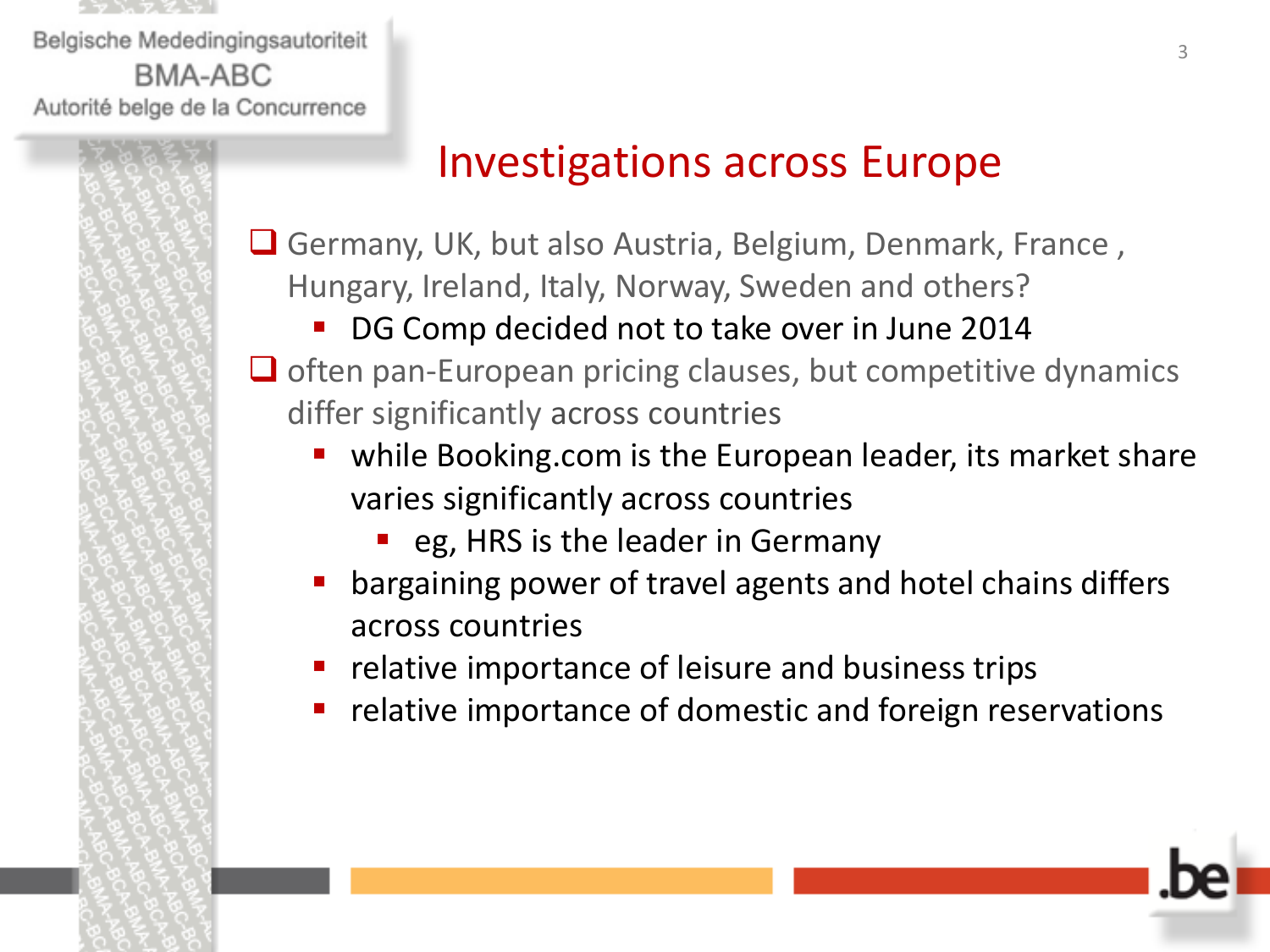

# Investigations across Europe

- **■** Germany, UK, but also Austria, Belgium, Denmark, France, Hungary, Ireland, Italy, Norway, Sweden and others?
	- DG Comp decided not to take over in June 2014
- $\Box$  often pan-European pricing clauses, but competitive dynamics differ significantly across countries
	- while Booking.com is the European leader, its market share varies significantly across countries
		- eg, HRS is the leader in Germany
	- bargaining power of travel agents and hotel chains differs across countries
	- **•** relative importance of leisure and business trips
	- relative importance of domestic and foreign reservations

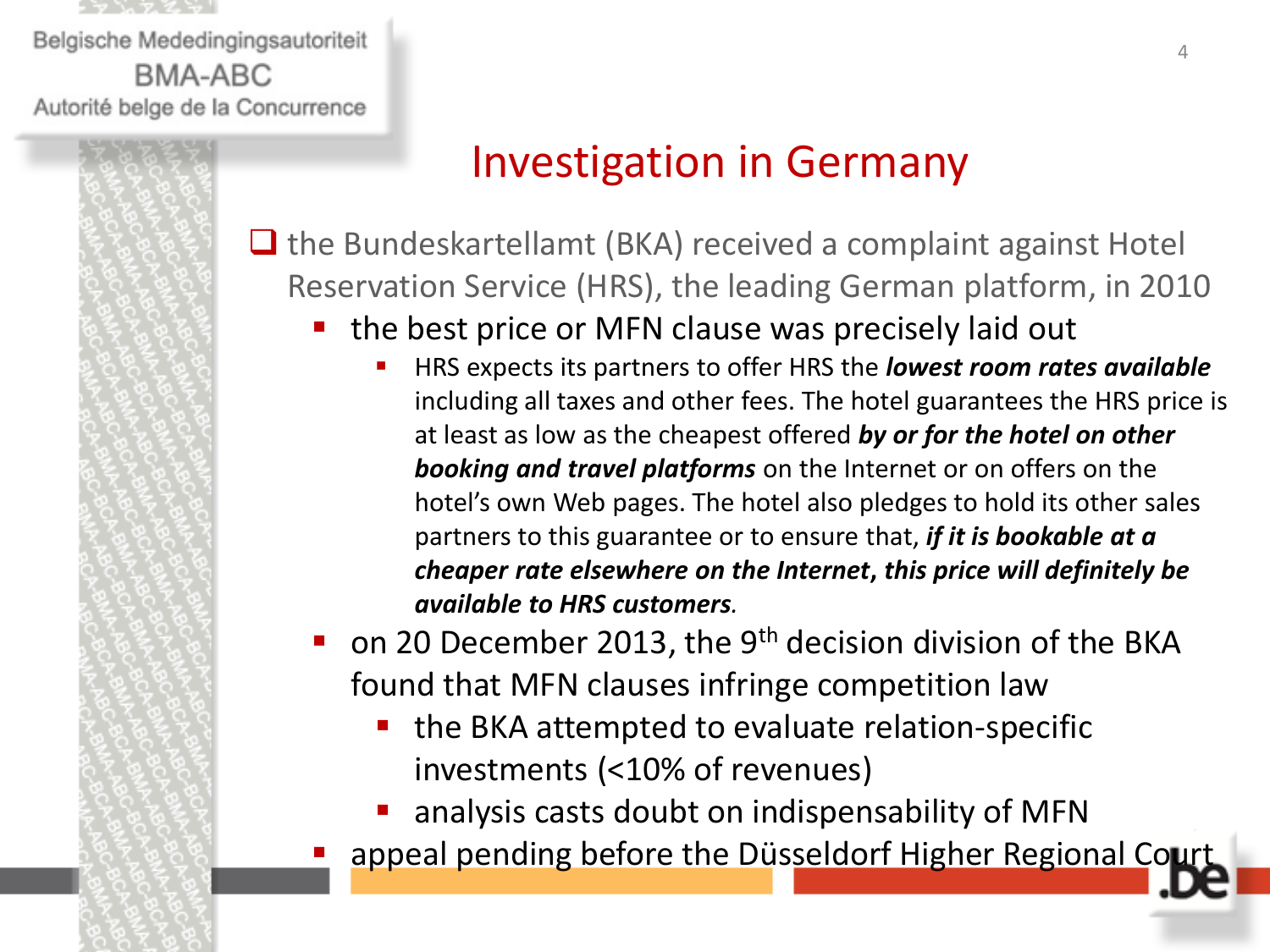

# Investigation in Germany

 $\Box$  the Bundeskartellamt (BKA) received a complaint against Hotel Reservation Service (HRS), the leading German platform, in 2010

- the best price or MFN clause was precisely laid out
	- HRS expects its partners to offer HRS the *lowest room rates available*  including all taxes and other fees. The hotel guarantees the HRS price is at least as low as the cheapest offered *by or for the hotel on other booking and travel platforms* on the Internet or on offers on the hotel's own Web pages. The hotel also pledges to hold its other sales partners to this guarantee or to ensure that, *if it is bookable at a cheaper rate elsewhere on the Internet***,** *this price will definitely be available to HRS customers.*

on 20 December 2013, the 9<sup>th</sup> decision division of the BKA found that MFN clauses infringe competition law

- the BKA attempted to evaluate relation-specific investments (<10% of revenues)
- analysis casts doubt on indispensability of MFN
- appeal pending before the Düsseldorf Higher Regional Court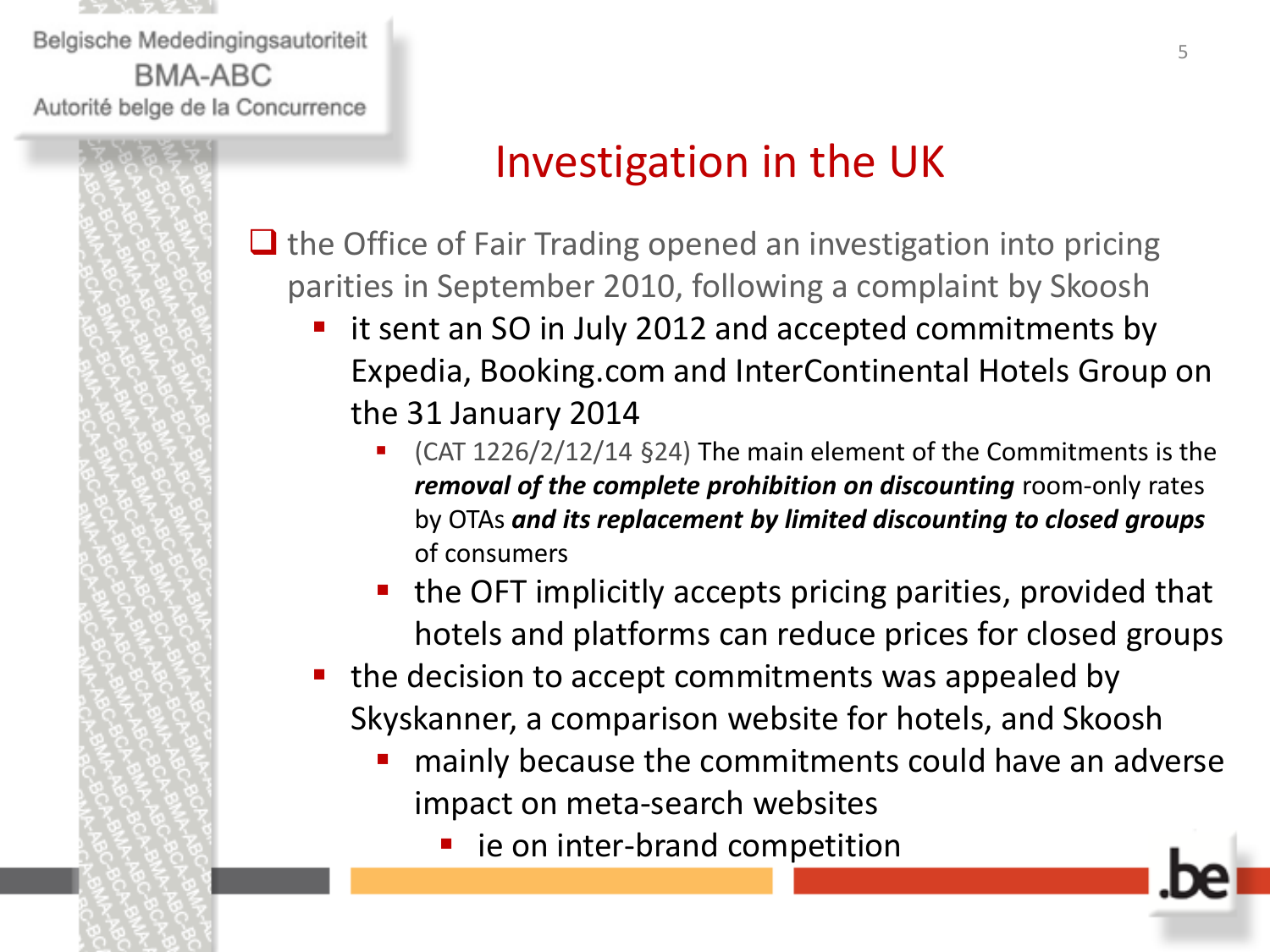

# Investigation in the UK

 $\Box$  the Office of Fair Trading opened an investigation into pricing parities in September 2010, following a complaint by Skoosh

- it sent an SO in July 2012 and accepted commitments by Expedia, Booking.com and InterContinental Hotels Group on the 31 January 2014
	- (CAT 1226/2/12/14 §24) The main element of the Commitments is the *removal of the complete prohibition on discounting room-only rates* by OTAs *and its replacement by limited discounting to closed groups*  of consumers
	- the OFT implicitly accepts pricing parities, provided that hotels and platforms can reduce prices for closed groups
- the decision to accept commitments was appealed by Skyskanner, a comparison website for hotels, and Skoosh
	- **nainly because the commitments could have an adverse** impact on meta-search websites
		- ie on inter-brand competition

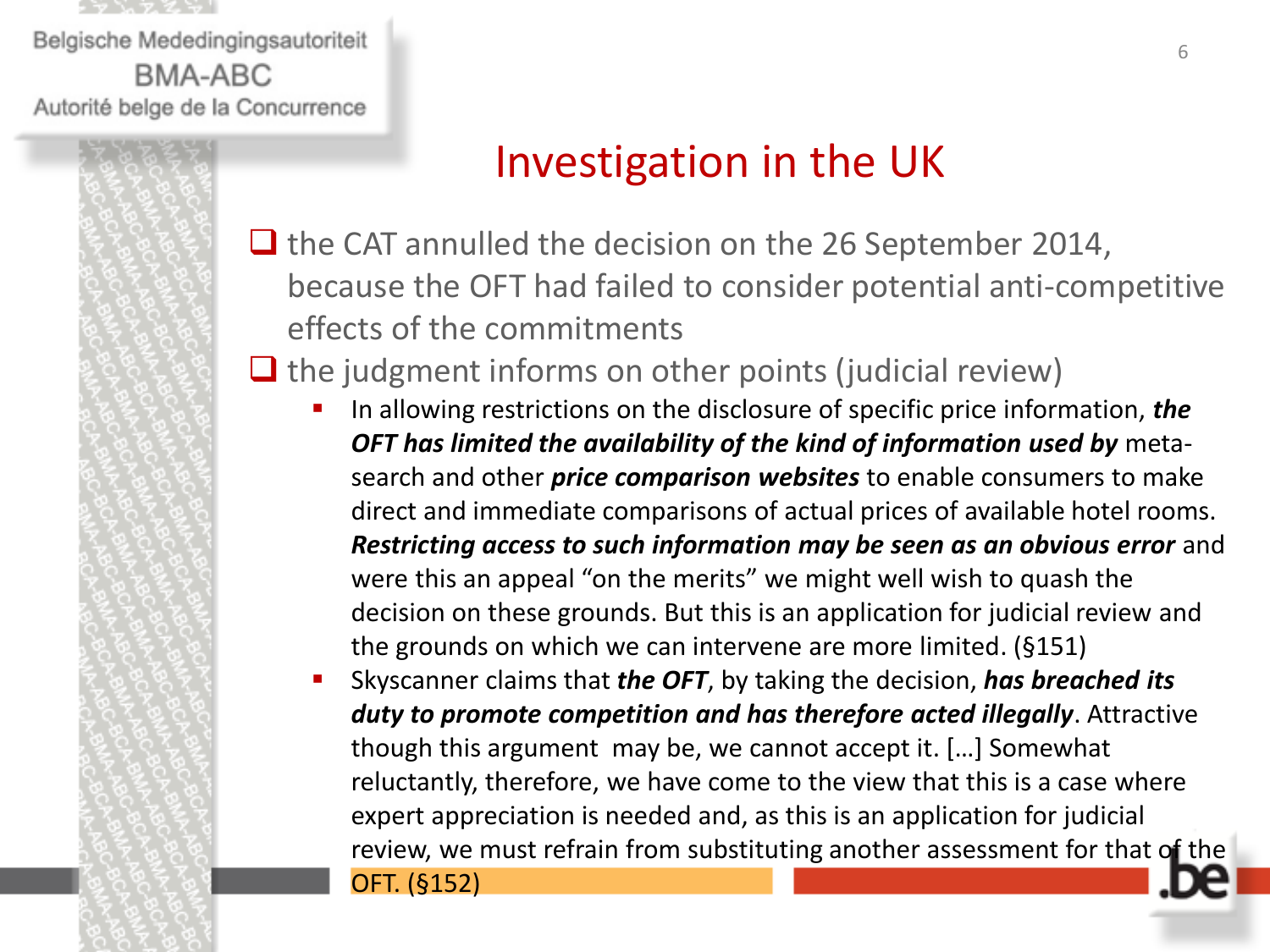

## Investigation in the UK

 $\Box$  the CAT annulled the decision on the 26 September 2014, because the OFT had failed to consider potential anti-competitive effects of the commitments

### $\Box$  the judgment informs on other points (judicial review)

- In allowing restrictions on the disclosure of specific price information, *the OFT has limited the availability of the kind of information used by* metasearch and other *price comparison websites* to enable consumers to make direct and immediate comparisons of actual prices of available hotel rooms. **Restricting access to such information may be seen as an obvious error** and were this an appeal "on the merits" we might well wish to quash the decision on these grounds. But this is an application for judicial review and the grounds on which we can intervene are more limited. (§151)
- Skyscanner claims that *the OFT*, by taking the decision, *has breached its duty to promote competition and has therefore acted illegally*. Attractive though this argument may be, we cannot accept it. […] Somewhat reluctantly, therefore, we have come to the view that this is a case where expert appreciation is needed and, as this is an application for judicial review, we must refrain from substituting another assessment for that of the

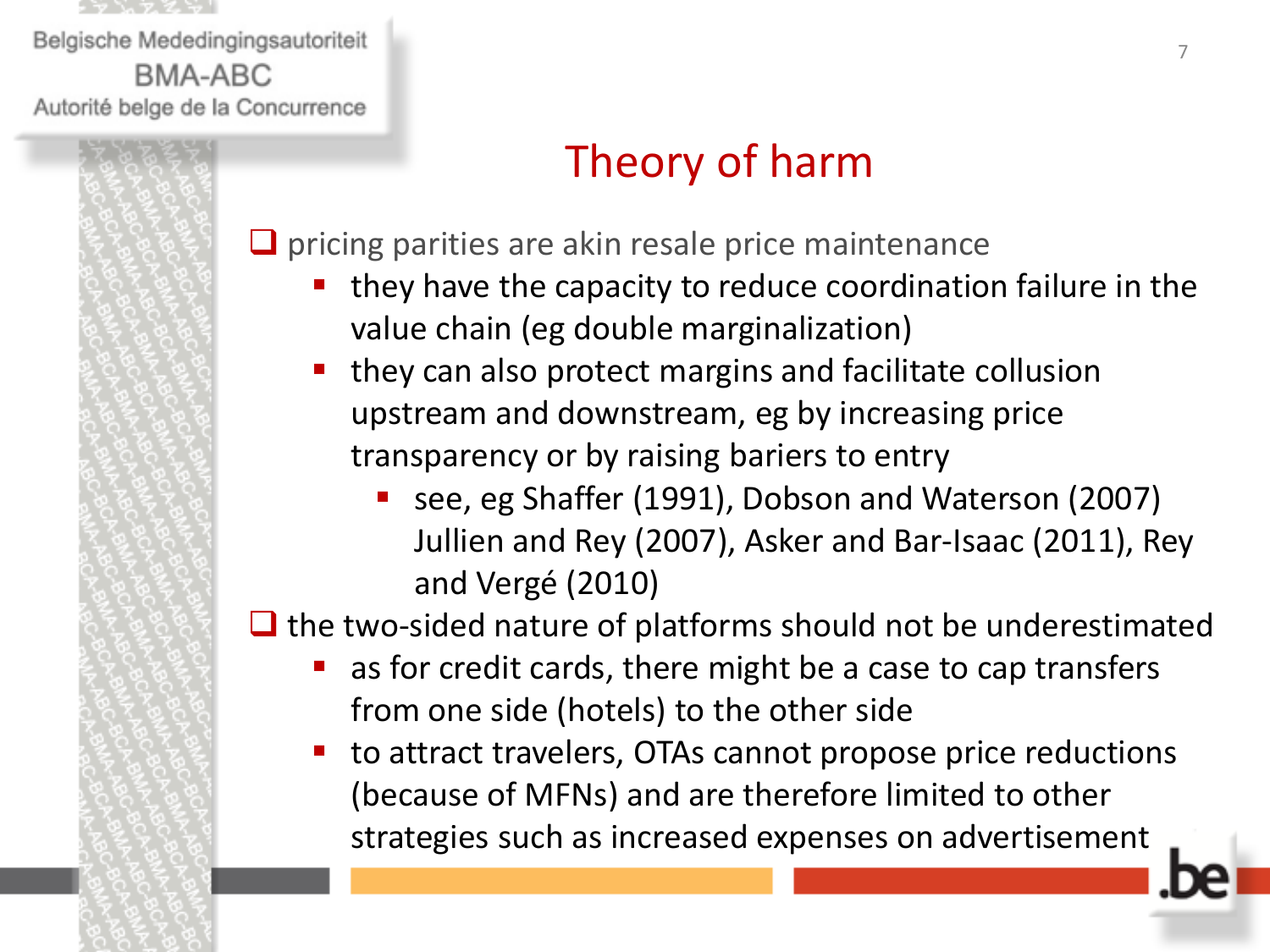

# Theory of harm

 $\Box$  pricing parities are akin resale price maintenance

- they have the capacity to reduce coordination failure in the value chain (eg double marginalization)
- they can also protect margins and facilitate collusion upstream and downstream, eg by increasing price transparency or by raising bariers to entry
	- see, eg Shaffer (1991), Dobson and Waterson (2007) Jullien and Rey (2007), Asker and Bar-Isaac (2011), Rey and Vergé (2010)

 $\Box$  the two-sided nature of platforms should not be underestimated

- as for credit cards, there might be a case to cap transfers from one side (hotels) to the other side
- to attract travelers, OTAs cannot propose price reductions (because of MFNs) and are therefore limited to other strategies such as increased expenses on advertisement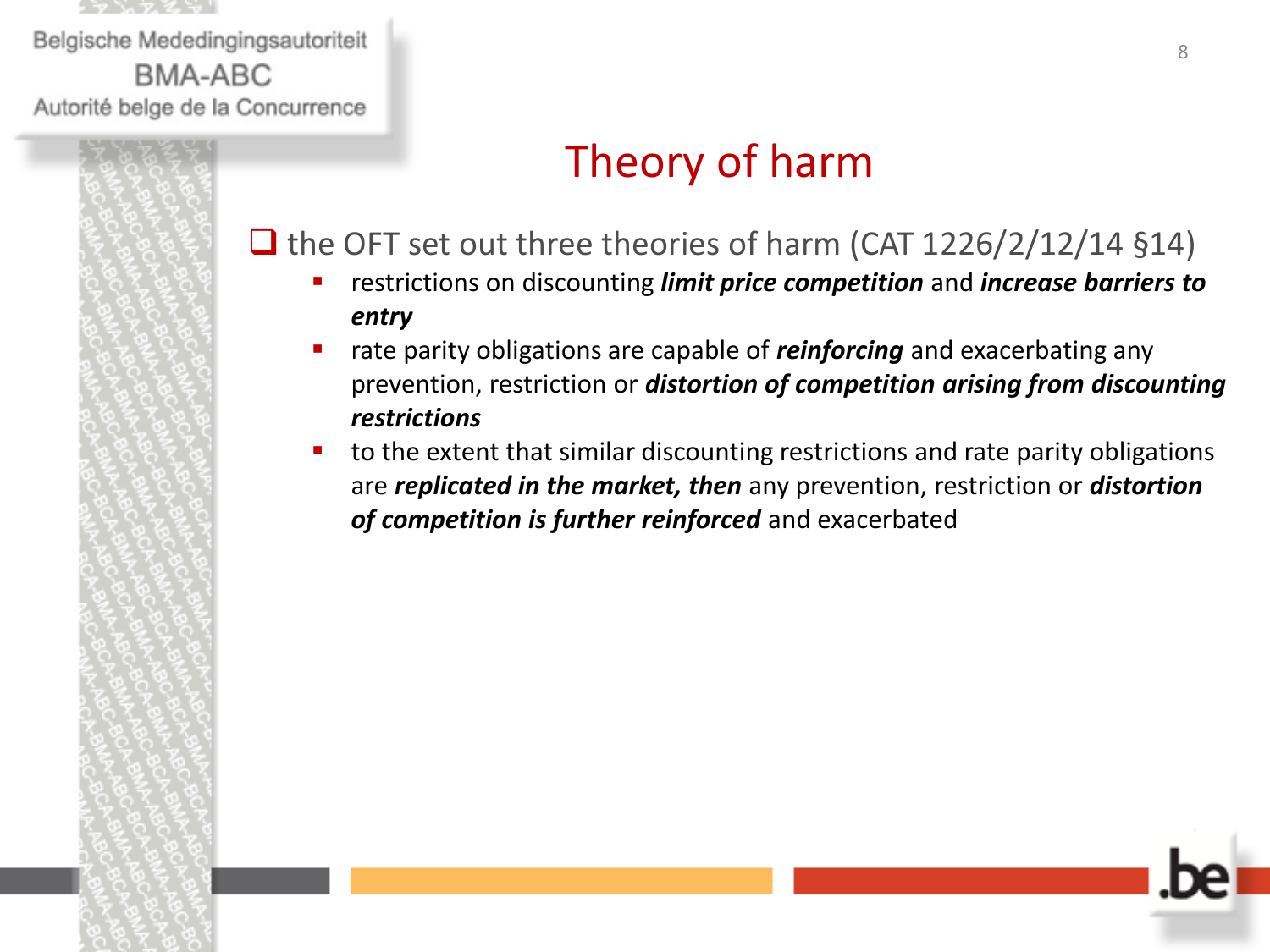

# Theory of harm

#### $\Box$  the OFT set out three theories of harm (CAT 1226/2/12/14 §14)

- restrictions on discounting *limit price competition* and *increase barriers to entry*
- **rate parity obligations are capable of** *reinforcing* and exacerbating any prevention, restriction or *distortion of competition arising from discounting restrictions*
- to the extent that similar discounting restrictions and rate parity obligations are *replicated in the market, then* any prevention, restriction or *distortion of competition is further reinforced* and exacerbated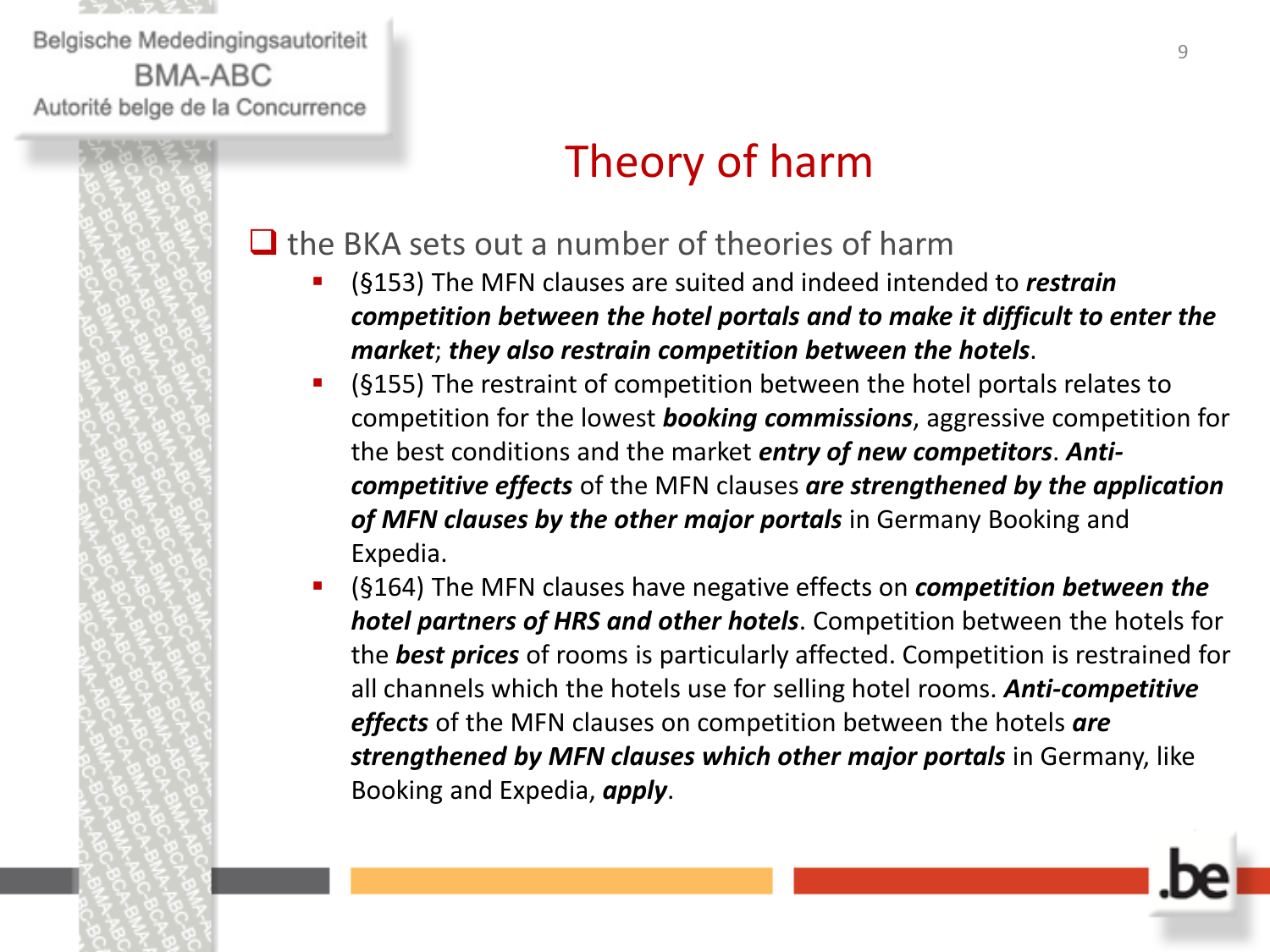

# Theory of harm

#### $\Box$  the BKA sets out a number of theories of harm

- (§153) The MFN clauses are suited and indeed intended to *restrain competition between the hotel portals and to make it difficult to enter the market*; *they also restrain competition between the hotels*.
- (§155) The restraint of competition between the hotel portals relates to competition for the lowest *booking commissions*, aggressive competition for the best conditions and the market *entry of new competitors*. *Anticompetitive effects* of the MFN clauses *are strengthened by the application of MFN clauses by the other major portals* in Germany Booking and Expedia.
- (§164) The MFN clauses have negative effects on *competition between the hotel partners of HRS and other hotels*. Competition between the hotels for the *best prices* of rooms is particularly affected. Competition is restrained for all channels which the hotels use for selling hotel rooms. *Anti-competitive effects* of the MFN clauses on competition between the hotels *are*  **strengthened by MFN clauses which other major portals** in Germany, like Booking and Expedia, *apply*.